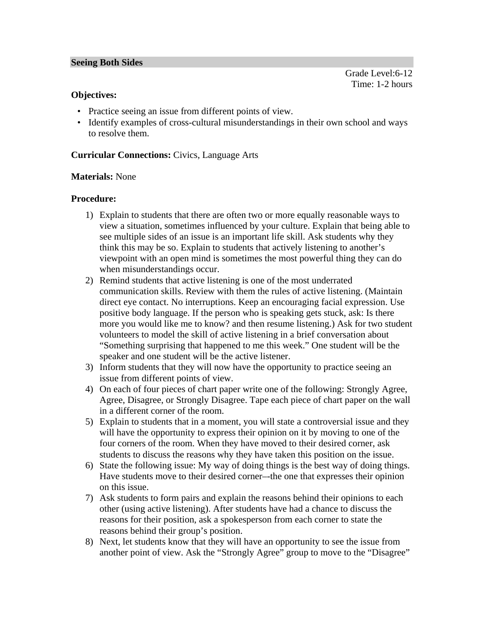Grade Level:6-12 Time: 1-2 hours

### **Objectives:**

- Practice seeing an issue from different points of view.
- Identify examples of cross-cultural misunderstandings in their own school and ways to resolve them.

### **Curricular Connections:** Civics, Language Arts

#### **Materials:** None

#### **Procedure:**

- 1) Explain to students that there are often two or more equally reasonable ways to view a situation, sometimes influenced by your culture. Explain that being able to see multiple sides of an issue is an important life skill. Ask students why they think this may be so. Explain to students that actively listening to another's viewpoint with an open mind is sometimes the most powerful thing they can do when misunderstandings occur.
- 2) Remind students that active listening is one of the most underrated communication skills. Review with them the rules of active listening. (Maintain direct eye contact. No interruptions. Keep an encouraging facial expression. Use positive body language. If the person who is speaking gets stuck, ask: Is there more you would like me to know? and then resume listening.) Ask for two student volunteers to model the skill of active listening in a brief conversation about "Something surprising that happened to me this week." One student will be the speaker and one student will be the active listener.
- 3) Inform students that they will now have the opportunity to practice seeing an issue from different points of view.
- 4) On each of four pieces of chart paper write one of the following: Strongly Agree, Agree, Disagree, or Strongly Disagree. Tape each piece of chart paper on the wall in a different corner of the room.
- 5) Explain to students that in a moment, you will state a controversial issue and they will have the opportunity to express their opinion on it by moving to one of the four corners of the room. When they have moved to their desired corner, ask students to discuss the reasons why they have taken this position on the issue.
- 6) State the following issue: My way of doing things is the best way of doing things. Have students move to their desired corner–-the one that expresses their opinion on this issue.
- 7) Ask students to form pairs and explain the reasons behind their opinions to each other (using active listening). After students have had a chance to discuss the reasons for their position, ask a spokesperson from each corner to state the reasons behind their group's position.
- 8) Next, let students know that they will have an opportunity to see the issue from another point of view. Ask the "Strongly Agree" group to move to the "Disagree"